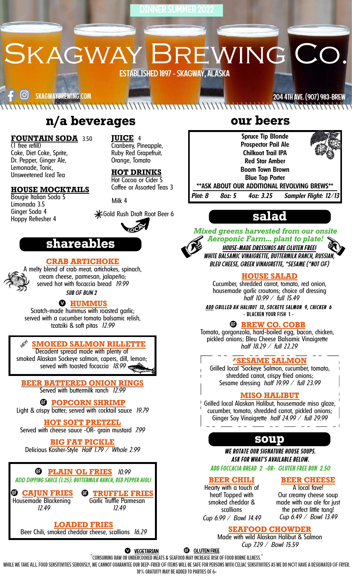DINNER SUMMER 2022

SKAGWAY BREWING CO. ESTABLISHED 1897-SKAGWAY,ALASKA

[၀]) skagwaybrewing.com

2044thAve. (907)983-BREW

#### $\mathcal{S}$ **n/a beverages**

#### **FOUNTAIN SODA** 3.50

(1 free refill) Coke, Diet Coke, Sprite, Dr. Pepper, Ginger Ale, Lemonade, Tonic, Unsweetened Iced Tea

#### **HOUSE MOCKTAILS**

Bougie Italian Soda 5 Limonada 3.5 Ginger Soda 4 Hoppy Refresher 4

Milk 4

**JUICE** 4

Cranberry, Pineapple, Ruby Red Grapefruit, Orange, Tomato

**HOT DRINKS** Hot Cocoa or Cider 5 Coffee or Assorted Teas 3

Gold Rush Draft Root Beer 6



# **shareables**

#### **CRAB ARTICHOKE**

A melty blend of crab meat, artichokes, spinach,

#### cream cheese, parmesan, jalapeño; served hot with focaccia bread *19.99 Sub GF BUN 2*

#### **HUMMUS**

Scratch-made hummus with roasted garlic; served with a cucumber tomato balsamic relish, tzatziki & soft pitas *12.99*

#### **SMOKED SALMON RILLETTE**

Decadent spread made with plenty of smoked Alaskan Sockeye salmon, capers, dill, lemon; served with toasted focaccia *18.99*

**BEER BATTERED ONION RINGS** Served with buttermilk ranch *12.99*

#### **POPCORN SHRIMP**

Light & crispy batter; served with cocktail sauce *19.79*

**HOT SOFT PRETZEL**

Served with cheese sauce -OR- grain mustard *7.99*

**BIG FAT PICKLE** Delicious Kosher-Style *Half 1.79 / Whole 2.99*

**PLAIN 'OL FRIES** *10.99 ADD Dipping sauce (1.25): buttermilk ranch, red pepper aioli*

**CAJUN FRIES** Housemade Blackening *12.49*

**LOADED FRIES**

**TRUFFLE FRIES** Garlic Truffle Parmesan *12.49*

Beer Chili, smoked cheddar cheese, scallions *16.29*

**our beers**

**Spruce Tip Blonde Prospector Pail Ale Chilkoot Trail IPA Red Star Amber Boom Town Brown Blue Top Porter \*\*ASK ABOUT OUR ADDITIONAL REVOLVING BREWS\*\*** *Pint: 8 8oz: 5 4oz: 3.25 Sampler Flight: 12/13*

# **salad**



*Mixed greens harvested from our onsite Aeroponic Farm... plant to plate! House-made Dressings are Gluten Free! White Balsamic Vinaigrette, Buttermilk Ranch, Russian, Bleu Cheese, Greek Vinaigrette, \*Sesame (\*not GF)*

#### **HOUSE SALAD**

Cucumber, shredded carrot, tomato, red onion, housemade garlic croutons; choice of dressing *half 10.99 / full 15.49*

*Add Grilled AK Halibut 13, Sockeye salmon 9, chicken 6* - Blacken your fish 1 -

#### **BREW CO. COBB**

Tomato, gorgonzola, hard-boiled egg, bacon, chicken, pickled onions; Bleu Cheese Balsamic Vinaigrette *half 18.29 / full 22.29*

#### **AME SALMON**

Grilled local ^Sockeye Salmon, cucumber, tomato, shredded carrot, crispy fried onions; Sesame dressing *half 19.99 / full 23.99*

#### **MISO HALIBUT**

Grilled local Alaskan Halibut, housemade miso glaze, cucumber, tomato, shredded carrot, pickled onions; Ginger Soy Vinaigrette *half 24.99 / full 29.99*

# **soup**

*Add foccacia bread 2 -or- Gluten free bun 2.50 We rotate our signature house soups. ask for what's available below.*

#### **BEER CHILI**

**BEER CHEESE**

Hearty with a touch of heat! Topped with smoked cheddar & scallions *Cup 6.99 / Bowl 14.49*

A local fave! Our creamy cheese soup made with our ale for just the perfect little tang! *Cup 6.49 / Bowl 13.49*

### **SEAFOOD CHOWDER**

Made with wild Alaskan Halibut & Salmon *Cup 7.29 / Bowl 15.59*

**VEGETARIAN GLUTEN FREE**

^Consumingraw orundercooked meats & seafood mayincreaseriskof foodborne illness.^

WHILE WE TAKE ALL FOOD SENSITIVITIES SERIOUSLY, WE CANNOT GUARANTEE OUR DEEP-FRIED GF ITEMS WILL BE SAFE FOR PERSONS WITH CELIAC SENSITIVITIES AS WE DO NOT HAVE A DESIGNATED GF FRYER.

18% GRATUITY MAY BE ADDED TO PARTIES OF 6+